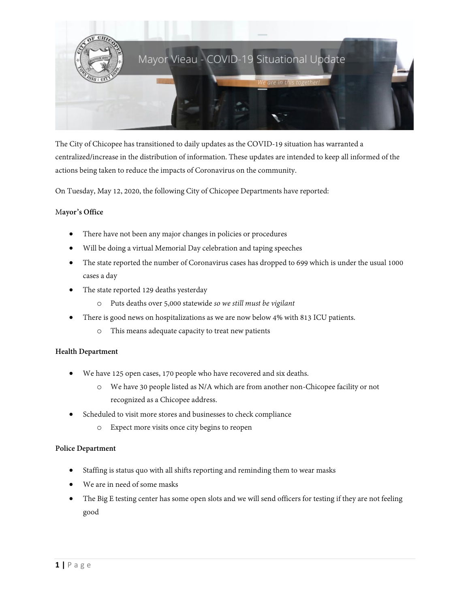

The City of Chicopee has transitioned to daily updates as the COVID-19 situation has warranted a centralized/increase in the distribution of information. These updates are intended to keep all informed of the actions being taken to reduce the impacts of Coronavirus on the community.

On Tuesday, May 12, 2020, the following City of Chicopee Departments have reported:

# M**ayor's Office**

- There have not been any major changes in policies or procedures
- Will be doing a virtual Memorial Day celebration and taping speeches
- The state reported the number of Coronavirus cases has dropped to 699 which is under the usual 1000 cases a day
- The state reported 129 deaths yesterday
	- o Puts deaths over 5,000 statewide *so we still must be vigilant*
- There is good news on hospitalizations as we are now below 4% with 813 ICU patients.
	- o This means adequate capacity to treat new patients

### **Health Department**

- We have 125 open cases, 170 people who have recovered and six deaths.
	- o We have 30 people listed as N/A which are from another non-Chicopee facility or not recognized as a Chicopee address.
- Scheduled to visit more stores and businesses to check compliance
	- o Expect more visits once city begins to reopen

### **Police Department**

- Staffing is status quo with all shifts reporting and reminding them to wear masks
- We are in need of some masks
- The Big E testing center has some open slots and we will send officers for testing if they are not feeling good